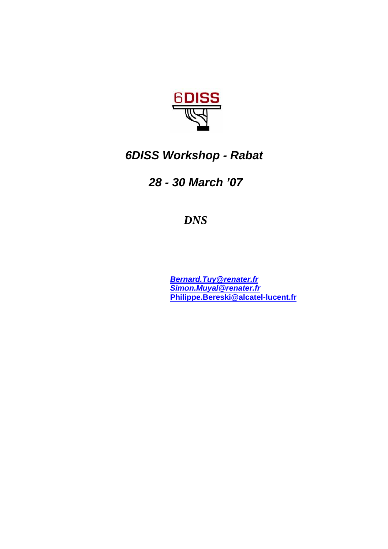

# *6DISS Workshop - Rabat*

# *28 - 30 March '07*

# *DNS*

*Bernard.Tuy@renater.fr Simon.Muyal@renater.fr*  **Philippe.Bereski@alcatel-lucent.fr**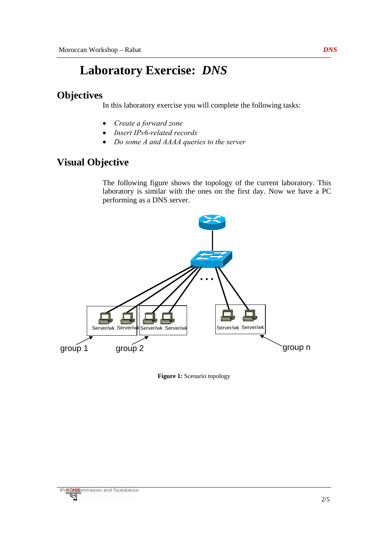# **Laboratory Exercise:** *DNS*

## **Objectives**

In this laboratory exercise you will complete the following tasks:

- *Create a forward zone*
- *Insert IPv6-related records*
- *Do some A and AAAA queries to the server*

## **Visual Objective**

The following figure shows the topology of the current laboratory. This laboratory is similar with the ones on the first day. Now we have a PC performing as a DNS server.



**Figure 1:** Scenario topology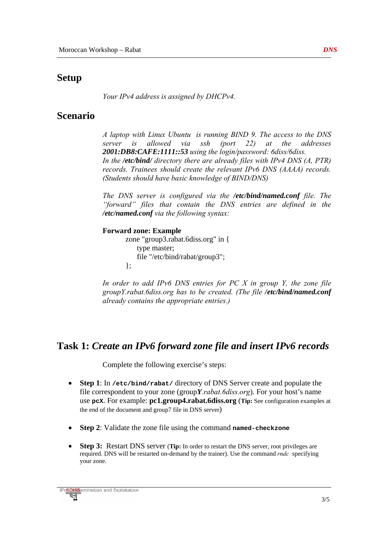## **Setup**

*Your IPv4 address is assigned by DHCPv4.* 

## **Scenario**

*Α laptop with Linux Ubuntu is running BIND 9. The access to the DNS server is allowed via ssh (port 22) at the addresses 2001:DB8:CAFE:1111::53 using the login/password: 6diss/6diss. In the /etc/bind/ directory there are already files with IPv4 DNS (A, PTR) records. Trainees should create the relevant IPv6 DNS (AAAA) records. (Students should have basic knowledge of BIND/DNS)* 

*The DNS server is configured via the /etc/bind/named.conf file. The "forward" files that contain the DNS entries are defined in the /etc/named.conf via the following syntax:* 

#### **Forward zone: Example**

zone "group3.rabat.6diss.org" in { type master; file "/etc/bind/rabat/group3"; };

*In order to add IPv6 DNS entries for PC X in group Y, the zone file groupY.rabat.6diss.org has to be created. (The file /etc/bind/named.conf already contains the appropriate entries.)* 

## **Task 1:** *Create an IPv6 forward zone file and insert IPv6 records*

Complete the following exercise's steps:

- **Step 1**: In **/etc/bind/rabat/** directory of DNS Server create and populate the file correspondent to your zone (group*Y.rabat.6diss.org*). For your host's name use **pcX**. For example: **pc1.group4.rabat.6diss.org** (**Tip:** See configuration examples at the end of the document and group7 file in DNS server)
- **Step 2**: Validate the zone file using the command **named-checkzone**
- **Step 3:** Restart DNS server (**Tip:** In order to restart the DNS server, root privileges are required. DNS will be restarted on-demand by the trainer). Use the command *rndc* specifying your zone.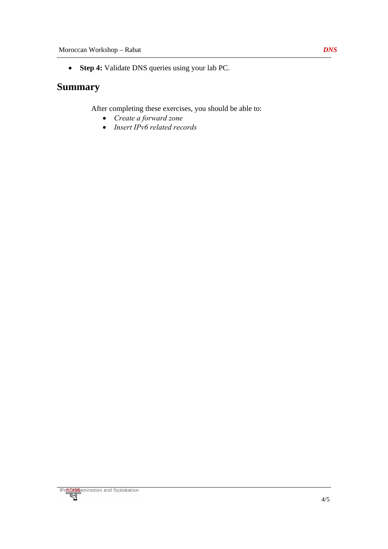• **Step 4:** Validate DNS queries using your lab PC.

## **Summary**

After completing these exercises, you should be able to:

- *Create a forward zone*
- *Insert IPv6 related records*